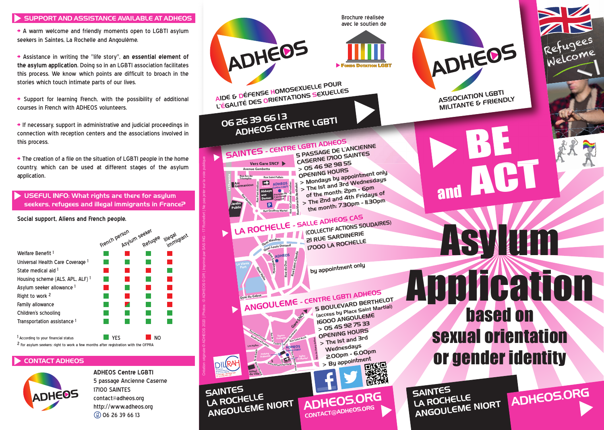#### SUPPORT AND ASSISTANCE AVAILABLE AT ADHEOS

> A warm welcome and friendly moments open to LGBTI asylum seekers in Saintes, La Rochelle and Angoulême.

> Assistance in writing the "life story", **an essential element of the asylum application**. Doing so in an LGBTI association facilitates this process. We know which points are difficult to broach in the stories which touch intimate parts of our lives.

> Support for learning French, with the possibility of additional courses in French with ADHEOS volunteers.

 $\rightarrow$  If necessary, support in administrative and judicial proceedings in connection with reception centers and the associations involved in this process.

> The creation of a file on the situation of LGBTI people in the home country, which can be used at different stages of the asylum application.

USEFUL INFO: What rights are there for asylum seekers, refugees and illegal immigrants in France?

**Social support, Aliens and French people.**

|                                                                                               | French person | Asylum seekel | Refugee        | lllegal<br>immigrant |
|-----------------------------------------------------------------------------------------------|---------------|---------------|----------------|----------------------|
| Welfare Benefit 1                                                                             |               |               |                |                      |
| Universal Health Care Coverage 1                                                              |               |               |                |                      |
| State medical aid 1                                                                           |               |               |                |                      |
| Housing scheme (ALS, APL, ALF) 1                                                              |               |               |                |                      |
| Asylum seeker allowance 1                                                                     |               |               |                |                      |
| Right to work 2                                                                               |               |               |                |                      |
| Family allowance                                                                              |               |               |                |                      |
| Children's schooling                                                                          |               |               |                |                      |
| Transportation assistance 1                                                                   |               |               |                |                      |
|                                                                                               |               |               |                |                      |
| According to your financial status                                                            | YFS           |               | N <sub>O</sub> |                      |
| <sup>2</sup> For asylum seekers: right to work a few months after registration with the OFPRA |               |               |                |                      |

## CONTACT ADHEOS



**ADHEOS Centre LGBTI** 5 passage Ancienne Caserne 17100 SAINTES contact@adheos.org http://www.adheos.org 06 26 39 66 13